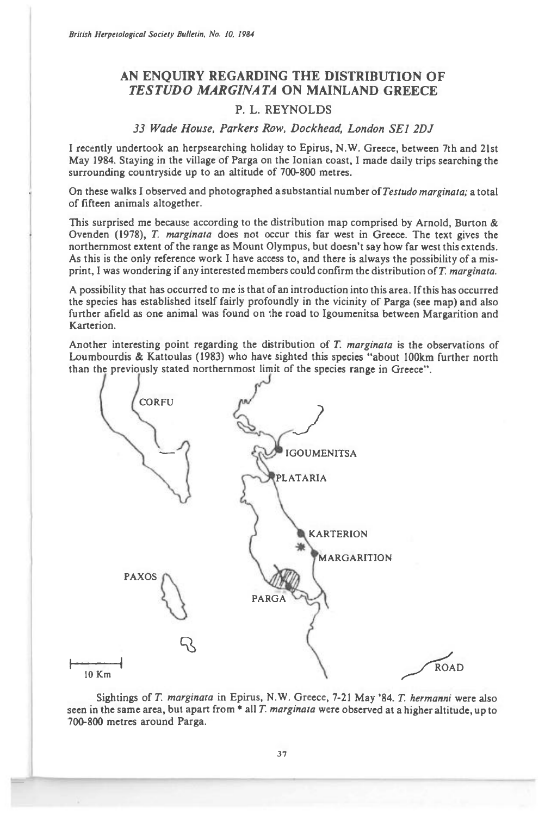*British Herpetological Society Bulletin, No. 10, 1984* 

## **AN ENQUIRY REGARDING THE DISTRIBUTION OF**  *TESTUDO MARGINATA* **ON MAINLAND GREECE**

## **P. L. REYNOLDS**

## *33 Wade House, Parkers Row, Dockhead, London SEI 2DJ*

I recently undertook an herpsearching holiday to Epirus, N.W. Greece, between 7th and 21st May 1984. Staying in the village of Parga on the Ionian coast, I made daily trips searching the surrounding countryside up to an altitude of 700-800 metres.

On these walks I observed and photographed a substantial number of *Testudo marginata; a* total of fifteen animals altogether.

This surprised me because according to the distribution map comprised by Arnold, Burton & Ovenden (1978), *T marginata* does not occur this far west in Greece. The text gives the northernmost extent of the range as Mount Olympus, but doesn't say how far west this extends. As this is the only reference work I have access to, and there is always the possibility of a misprint, I was wondering if any interested members could confirm the distribution of *T. marginata.* 

A possibility that has occurred to me is that of an introduction into this area. If this has occurred the species has established itself fairly profoundly in the vicinity of Parga (see map) and also further afield as one animal was found on the road to Igoumenitsa between Margarition and Karterion.

Another interesting point regarding the distribution of *T. marginata* is the observations of Loumbourdis & Kattoulas (1983) who have sighted this species "about 100km further north than the previously stated northernmost limit of the species range in Greece".



Sightings of *T. marginata* in Epirus, N.W. Greece, 7-21 May '84. *T. hermanni* were also seen in the same area, but apart from \* all *T. marginata* were observed at a higher altitude, up to 700-800 metres around Parga.